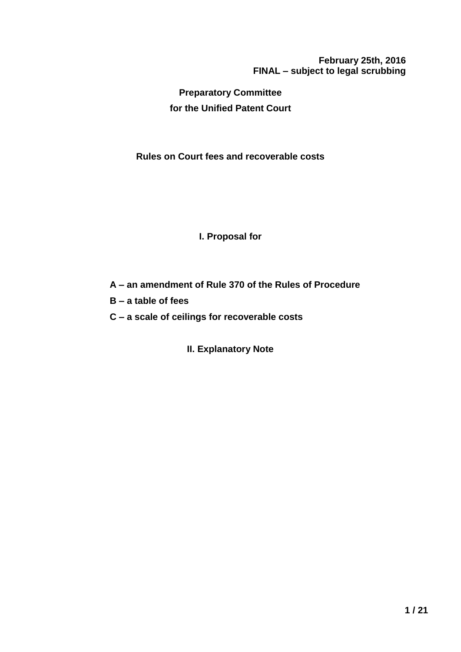**February 25th, 2016 FINAL – subject to legal scrubbing**

**Preparatory Committee for the Unified Patent Court**

**Rules on Court fees and recoverable costs**

## **I. Proposal for**

- **A – an amendment of Rule 370 of the Rules of Procedure**
- **B – a table of fees**
- **C – a scale of ceilings for recoverable costs**

**II. Explanatory Note**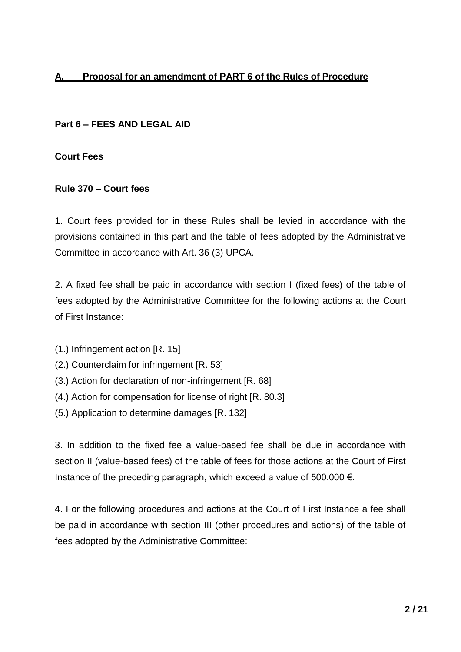# **A. Proposal for an amendment of PART 6 of the Rules of Procedure**

## **Part 6 – FEES AND LEGAL AID**

#### **Court Fees**

#### **Rule 370 – Court fees**

1. Court fees provided for in these Rules shall be levied in accordance with the provisions contained in this part and the table of fees adopted by the Administrative Committee in accordance with Art. 36 (3) UPCA.

2. A fixed fee shall be paid in accordance with section I (fixed fees) of the table of fees adopted by the Administrative Committee for the following actions at the Court of First Instance:

- (1.) Infringement action [R. 15]
- (2.) Counterclaim for infringement [R. 53]
- (3.) Action for declaration of non-infringement [R. 68]
- (4.) Action for compensation for license of right [R. 80.3]
- (5.) Application to determine damages [R. 132]

3. In addition to the fixed fee a value-based fee shall be due in accordance with section II (value-based fees) of the table of fees for those actions at the Court of First Instance of the preceding paragraph, which exceed a value of 500.000  $\epsilon$ .

4. For the following procedures and actions at the Court of First Instance a fee shall be paid in accordance with section III (other procedures and actions) of the table of fees adopted by the Administrative Committee: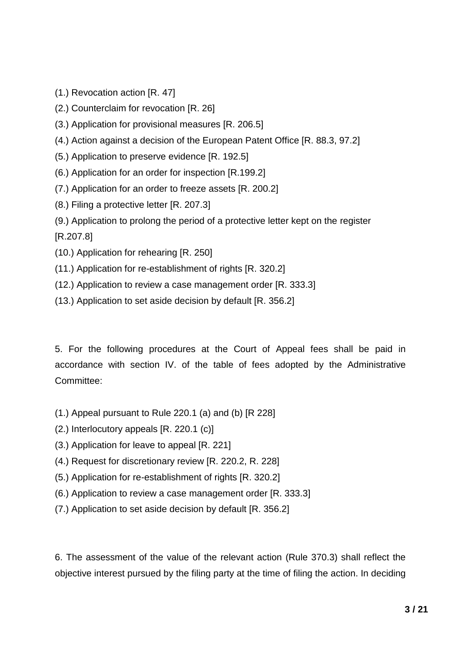- (1.) Revocation action [R. 47]
- (2.) Counterclaim for revocation [R. 26]
- (3.) Application for provisional measures [R. 206.5]
- (4.) Action against a decision of the European Patent Office [R. 88.3, 97.2]
- (5.) Application to preserve evidence [R. 192.5]
- (6.) Application for an order for inspection [R.199.2]
- (7.) Application for an order to freeze assets [R. 200.2]
- (8.) Filing a protective letter [R. 207.3]
- (9.) Application to prolong the period of a protective letter kept on the register

[R.207.8]

- (10.) Application for rehearing [R. 250]
- (11.) Application for re-establishment of rights [R. 320.2]
- (12.) Application to review a case management order [R. 333.3]
- (13.) Application to set aside decision by default [R. 356.2]

5. For the following procedures at the Court of Appeal fees shall be paid in accordance with section IV. of the table of fees adopted by the Administrative Committee:

- (1.) Appeal pursuant to Rule 220.1 (a) and (b) [R 228]
- (2.) Interlocutory appeals [R. 220.1 (c)]
- (3.) Application for leave to appeal [R. 221]
- (4.) Request for discretionary review [R. 220.2, R. 228]
- (5.) Application for re-establishment of rights [R. 320.2]
- (6.) Application to review a case management order [R. 333.3]
- (7.) Application to set aside decision by default [R. 356.2]

6. The assessment of the value of the relevant action (Rule 370.3) shall reflect the objective interest pursued by the filing party at the time of filing the action. In deciding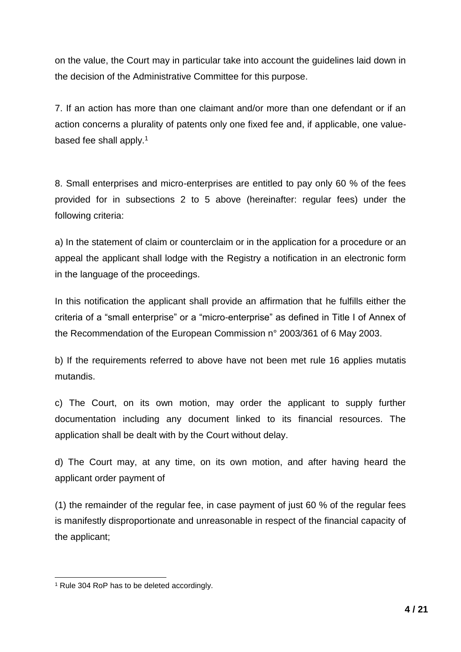on the value, the Court may in particular take into account the guidelines laid down in the decision of the Administrative Committee for this purpose.

7. If an action has more than one claimant and/or more than one defendant or if an action concerns a plurality of patents only one fixed fee and, if applicable, one valuebased fee shall apply.<sup>1</sup>

8. Small enterprises and micro-enterprises are entitled to pay only 60 % of the fees provided for in subsections 2 to 5 above (hereinafter: regular fees) under the following criteria:

a) In the statement of claim or counterclaim or in the application for a procedure or an appeal the applicant shall lodge with the Registry a notification in an electronic form in the language of the proceedings.

In this notification the applicant shall provide an affirmation that he fulfills either the criteria of a "small enterprise" or a "micro-enterprise" as defined in Title I of Annex of the Recommendation of the European Commission n° 2003/361 of 6 May 2003.

b) If the requirements referred to above have not been met rule 16 applies mutatis mutandis.

c) The Court, on its own motion, may order the applicant to supply further documentation including any document linked to its financial resources. The application shall be dealt with by the Court without delay.

d) The Court may, at any time, on its own motion, and after having heard the applicant order payment of

(1) the remainder of the regular fee, in case payment of just 60 % of the regular fees is manifestly disproportionate and unreasonable in respect of the financial capacity of the applicant;

<sup>1</sup> Rule 304 RoP has to be deleted accordingly.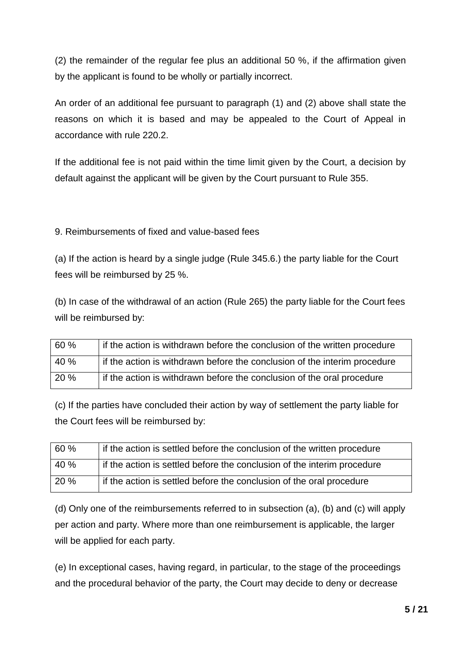(2) the remainder of the regular fee plus an additional 50 %, if the affirmation given by the applicant is found to be wholly or partially incorrect.

An order of an additional fee pursuant to paragraph (1) and (2) above shall state the reasons on which it is based and may be appealed to the Court of Appeal in accordance with rule 220.2.

If the additional fee is not paid within the time limit given by the Court, a decision by default against the applicant will be given by the Court pursuant to Rule 355.

9. Reimbursements of fixed and value-based fees

(a) If the action is heard by a single judge (Rule 345.6.) the party liable for the Court fees will be reimbursed by 25 %.

(b) In case of the withdrawal of an action (Rule 265) the party liable for the Court fees will be reimbursed by:

| 60 % | if the action is withdrawn before the conclusion of the written procedure |
|------|---------------------------------------------------------------------------|
| 40 % | if the action is withdrawn before the conclusion of the interim procedure |
| 20%  | if the action is withdrawn before the conclusion of the oral procedure    |

(c) If the parties have concluded their action by way of settlement the party liable for the Court fees will be reimbursed by:

| 60 % | if the action is settled before the conclusion of the written procedure |
|------|-------------------------------------------------------------------------|
| 40 % | If the action is settled before the conclusion of the interim procedure |
| 20%  | if the action is settled before the conclusion of the oral procedure    |

(d) Only one of the reimbursements referred to in subsection (a), (b) and (c) will apply per action and party. Where more than one reimbursement is applicable, the larger will be applied for each party.

(e) In exceptional cases, having regard, in particular, to the stage of the proceedings and the procedural behavior of the party, the Court may decide to deny or decrease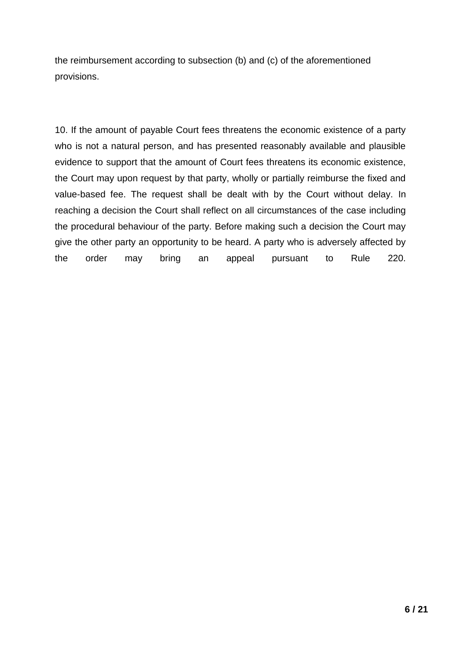the reimbursement according to subsection (b) and (c) of the aforementioned provisions.

10. If the amount of payable Court fees threatens the economic existence of a party who is not a natural person, and has presented reasonably available and plausible evidence to support that the amount of Court fees threatens its economic existence, the Court may upon request by that party, wholly or partially reimburse the fixed and value-based fee. The request shall be dealt with by the Court without delay. In reaching a decision the Court shall reflect on all circumstances of the case including the procedural behaviour of the party. Before making such a decision the Court may give the other party an opportunity to be heard. A party who is adversely affected by the order may bring an appeal pursuant to Rule 220.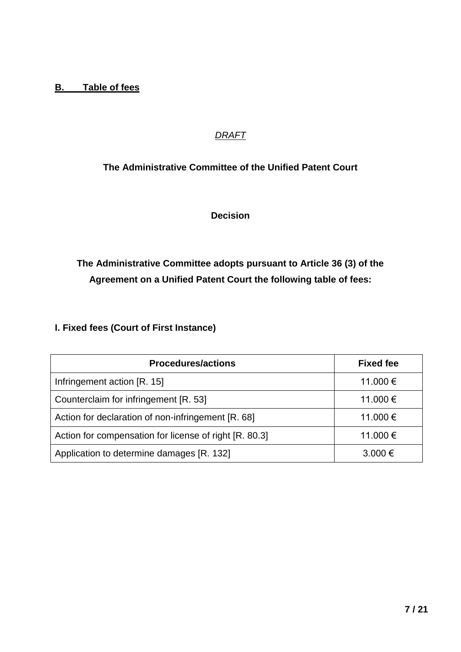## **B. Table of fees**

# *DRAFT*

# **The Administrative Committee of the Unified Patent Court**

**Decision** 

# **The Administrative Committee adopts pursuant to Article 36 (3) of the Agreement on a Unified Patent Court the following table of fees:**

# **I. Fixed fees (Court of First Instance)**

| <b>Procedures/actions</b>                              | <b>Fixed fee</b> |
|--------------------------------------------------------|------------------|
| Infringement action [R. 15]                            | 11.000 €         |
| Counterclaim for infringement [R. 53]                  | 11.000 €         |
| Action for declaration of non-infringement [R. 68]     | 11.000 €         |
| Action for compensation for license of right [R. 80.3] | 11.000 €         |
| Application to determine damages [R. 132]              | $3.000 \in$      |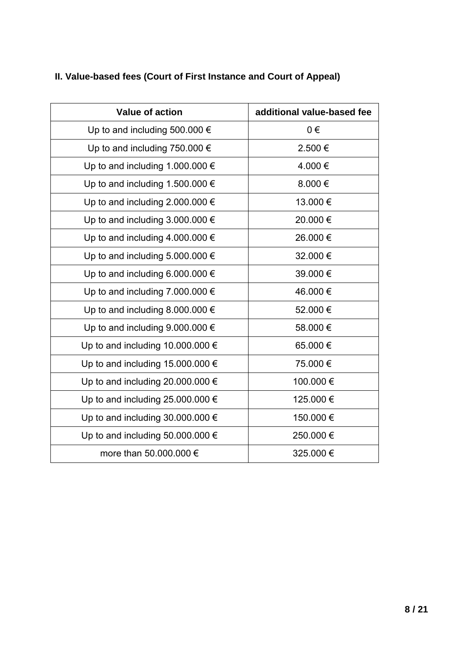# **II. Value-based fees (Court of First Instance and Court of Appeal)**

| Value of action                           | additional value-based fee |
|-------------------------------------------|----------------------------|
| Up to and including 500.000 $\epsilon$    | $0 \in$                    |
| Up to and including 750.000 $\epsilon$    | 2.500€                     |
| Up to and including 1.000.000 $\epsilon$  | 4.000€                     |
| Up to and including 1.500.000 €           | 8.000€                     |
| Up to and including 2.000.000 $\epsilon$  | 13.000€                    |
| Up to and including $3.000.000 \in$       | 20.000€                    |
| Up to and including 4.000.000 $\epsilon$  | 26.000€                    |
| Up to and including 5.000.000 $\epsilon$  | 32.000 €                   |
| Up to and including 6.000.000 $\epsilon$  | 39.000€                    |
| Up to and including 7.000.000 $\epsilon$  | 46.000€                    |
| Up to and including 8.000.000 $\epsilon$  | 52.000€                    |
| Up to and including $9.000.000 \in$       | 58.000€                    |
| Up to and including 10.000.000 $\epsilon$ | 65.000€                    |
| Up to and including 15.000.000 $\epsilon$ | 75.000€                    |
| Up to and including 20.000.000 $\epsilon$ | 100.000 €                  |
| Up to and including 25.000.000 $\epsilon$ | 125.000 €                  |
| Up to and including 30.000.000 $\epsilon$ | 150.000 €                  |
| Up to and including 50.000.000 $\epsilon$ | 250.000€                   |
| more than 50.000.000 €                    | 325.000 €                  |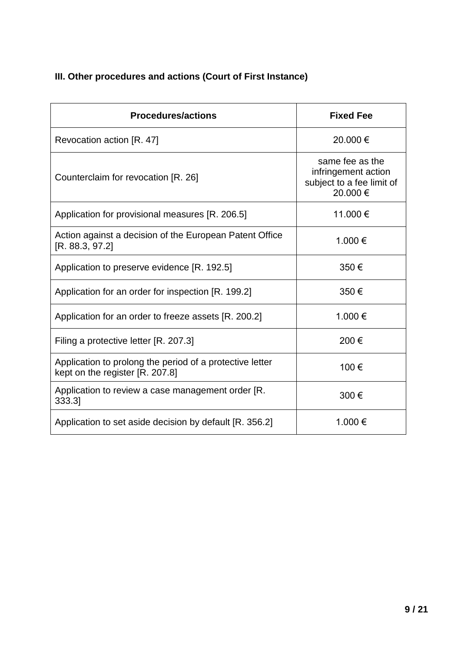# **III. Other procedures and actions (Court of First Instance)**

| <b>Procedures/actions</b>                                                                   | <b>Fixed Fee</b>                                                                |
|---------------------------------------------------------------------------------------------|---------------------------------------------------------------------------------|
| Revocation action [R. 47]                                                                   | 20.000€                                                                         |
| Counterclaim for revocation [R. 26]                                                         | same fee as the<br>infringement action<br>subject to a fee limit of<br>20.000 € |
| Application for provisional measures [R. 206.5]                                             | 11.000 €                                                                        |
| Action against a decision of the European Patent Office<br>[R. 88.3, 97.2]                  | 1.000 €                                                                         |
| Application to preserve evidence [R. 192.5]                                                 | 350€                                                                            |
| Application for an order for inspection [R. 199.2]                                          | 350€                                                                            |
| Application for an order to freeze assets [R. 200.2]                                        | 1.000€                                                                          |
| Filing a protective letter [R. 207.3]                                                       | 200€                                                                            |
| Application to prolong the period of a protective letter<br>kept on the register [R. 207.8] | 100€                                                                            |
| Application to review a case management order [R.<br>333.3]                                 | 300€                                                                            |
| Application to set aside decision by default [R. 356.2]                                     | 1.000 €                                                                         |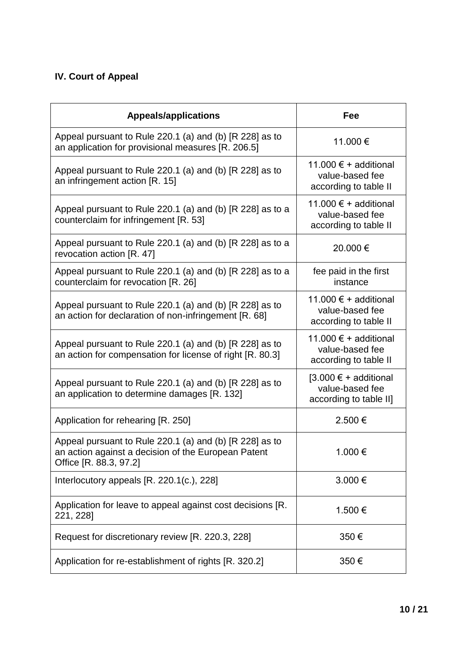# **IV. Court of Appeal**

| <b>Appeals/applications</b>                                                                                                              | Fee                                                                  |
|------------------------------------------------------------------------------------------------------------------------------------------|----------------------------------------------------------------------|
| Appeal pursuant to Rule 220.1 (a) and (b) [R 228] as to<br>an application for provisional measures [R. 206.5]                            | 11.000 €                                                             |
| Appeal pursuant to Rule 220.1 (a) and (b) [R 228] as to<br>an infringement action [R. 15]                                                | 11.000 € + additional<br>value-based fee<br>according to table II    |
| Appeal pursuant to Rule 220.1 (a) and (b) [R 228] as to a<br>counterclaim for infringement [R. 53]                                       | 11.000 € + additional<br>value-based fee<br>according to table II    |
| Appeal pursuant to Rule 220.1 (a) and (b) [R 228] as to a<br>revocation action [R. 47]                                                   | 20.000 €                                                             |
| Appeal pursuant to Rule 220.1 (a) and (b) [R 228] as to a<br>counterclaim for revocation [R. 26]                                         | fee paid in the first<br>instance                                    |
| Appeal pursuant to Rule 220.1 (a) and (b) [R 228] as to<br>an action for declaration of non-infringement [R. 68]                         | 11,000 € + additional<br>value-based fee<br>according to table II    |
| Appeal pursuant to Rule 220.1 (a) and (b) [R 228] as to<br>an action for compensation for license of right [R. 80.3]                     | 11.000 € + additional<br>value-based fee<br>according to table II    |
| Appeal pursuant to Rule 220.1 (a) and (b) [R 228] as to<br>an application to determine damages [R. 132]                                  | $[3.000 € + additional$<br>value-based fee<br>according to table II] |
| Application for rehearing [R. 250]                                                                                                       | 2.500€                                                               |
| Appeal pursuant to Rule 220.1 (a) and (b) [R 228] as to<br>an action against a decision of the European Patent<br>Office [R. 88.3, 97.2] | 1.000 €                                                              |
| Interlocutory appeals [R. 220.1(c.), 228]                                                                                                | 3.000€                                                               |
| Application for leave to appeal against cost decisions [R.<br>221, 228]                                                                  | 1.500€                                                               |
| Request for discretionary review [R. 220.3, 228]                                                                                         | 350€                                                                 |
| Application for re-establishment of rights [R. 320.2]                                                                                    | 350€                                                                 |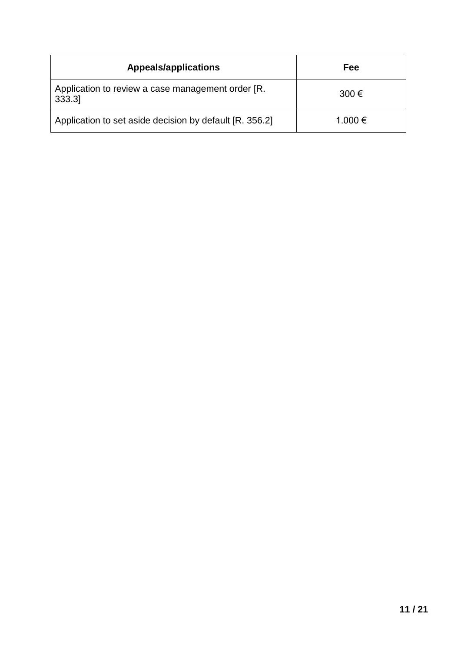| <b>Appeals/applications</b>                                | Fee         |
|------------------------------------------------------------|-------------|
| Application to review a case management order [R.<br>333.3 | $300 \in$   |
| Application to set aside decision by default [R. 356.2]    | $1.000 \in$ |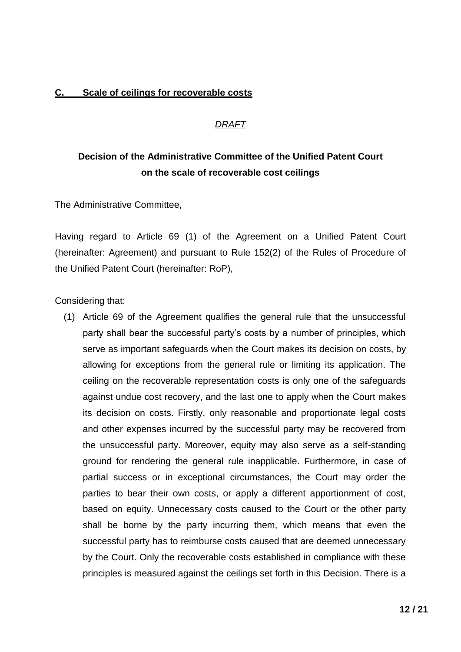## **C. Scale of ceilings for recoverable costs**

## *DRAFT*

# **Decision of the Administrative Committee of the Unified Patent Court on the scale of recoverable cost ceilings**

The Administrative Committee,

Having regard to Article 69 (1) of the Agreement on a Unified Patent Court (hereinafter: Agreement) and pursuant to Rule 152(2) of the Rules of Procedure of the Unified Patent Court (hereinafter: RoP),

Considering that:

(1) Article 69 of the Agreement qualifies the general rule that the unsuccessful party shall bear the successful party's costs by a number of principles, which serve as important safeguards when the Court makes its decision on costs, by allowing for exceptions from the general rule or limiting its application. The ceiling on the recoverable representation costs is only one of the safeguards against undue cost recovery, and the last one to apply when the Court makes its decision on costs. Firstly, only reasonable and proportionate legal costs and other expenses incurred by the successful party may be recovered from the unsuccessful party. Moreover, equity may also serve as a self-standing ground for rendering the general rule inapplicable. Furthermore, in case of partial success or in exceptional circumstances, the Court may order the parties to bear their own costs, or apply a different apportionment of cost, based on equity. Unnecessary costs caused to the Court or the other party shall be borne by the party incurring them, which means that even the successful party has to reimburse costs caused that are deemed unnecessary by the Court. Only the recoverable costs established in compliance with these principles is measured against the ceilings set forth in this Decision. There is a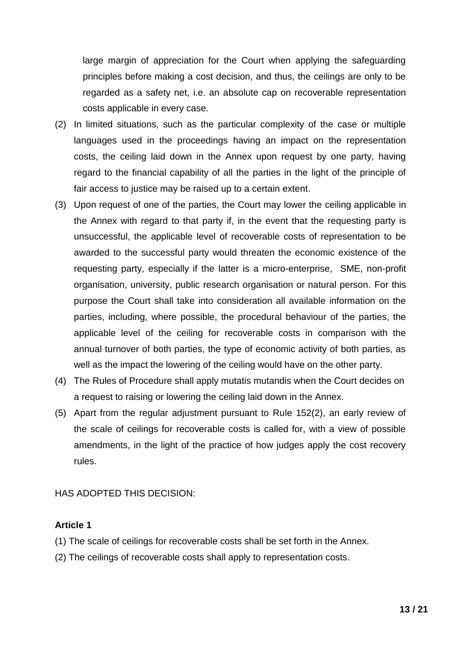large margin of appreciation for the Court when applying the safeguarding principles before making a cost decision, and thus, the ceilings are only to be regarded as a safety net, i.e. an absolute cap on recoverable representation costs applicable in every case.

- (2) In limited situations, such as the particular complexity of the case or multiple languages used in the proceedings having an impact on the representation costs, the ceiling laid down in the Annex upon request by one party, having regard to the financial capability of all the parties in the light of the principle of fair access to justice may be raised up to a certain extent.
- (3) Upon request of one of the parties, the Court may lower the ceiling applicable in the Annex with regard to that party if, in the event that the requesting party is unsuccessful, the applicable level of recoverable costs of representation to be awarded to the successful party would threaten the economic existence of the requesting party, especially if the latter is a micro-enterprise, SME, non-profit organisation, university, public research organisation or natural person. For this purpose the Court shall take into consideration all available information on the parties, including, where possible, the procedural behaviour of the parties, the applicable level of the ceiling for recoverable costs in comparison with the annual turnover of both parties, the type of economic activity of both parties, as well as the impact the lowering of the ceiling would have on the other party.
- (4) The Rules of Procedure shall apply mutatis mutandis when the Court decides on a request to raising or lowering the ceiling laid down in the Annex.
- (5) Apart from the regular adjustment pursuant to Rule 152(2), an early review of the scale of ceilings for recoverable costs is called for, with a view of possible amendments, in the light of the practice of how judges apply the cost recovery rules.

HAS ADOPTED THIS DECISION:

## **Article 1**

- (1) The scale of ceilings for recoverable costs shall be set forth in the Annex.
- (2) The ceilings of recoverable costs shall apply to representation costs.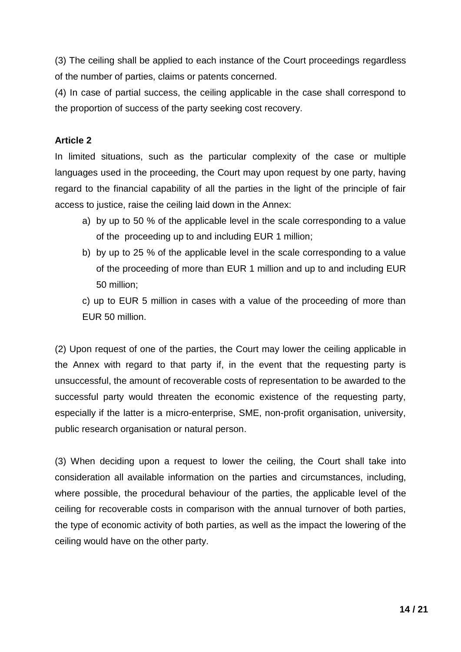(3) The ceiling shall be applied to each instance of the Court proceedings regardless of the number of parties, claims or patents concerned.

(4) In case of partial success, the ceiling applicable in the case shall correspond to the proportion of success of the party seeking cost recovery.

## **Article 2**

In limited situations, such as the particular complexity of the case or multiple languages used in the proceeding, the Court may upon request by one party, having regard to the financial capability of all the parties in the light of the principle of fair access to justice, raise the ceiling laid down in the Annex:

- a) by up to 50 % of the applicable level in the scale corresponding to a value of the proceeding up to and including EUR 1 million;
- b) by up to 25 % of the applicable level in the scale corresponding to a value of the proceeding of more than EUR 1 million and up to and including EUR 50 million;

c) up to EUR 5 million in cases with a value of the proceeding of more than EUR 50 million.

(2) Upon request of one of the parties, the Court may lower the ceiling applicable in the Annex with regard to that party if, in the event that the requesting party is unsuccessful, the amount of recoverable costs of representation to be awarded to the successful party would threaten the economic existence of the requesting party, especially if the latter is a micro-enterprise, SME, non-profit organisation, university, public research organisation or natural person.

(3) When deciding upon a request to lower the ceiling, the Court shall take into consideration all available information on the parties and circumstances, including, where possible, the procedural behaviour of the parties, the applicable level of the ceiling for recoverable costs in comparison with the annual turnover of both parties, the type of economic activity of both parties, as well as the impact the lowering of the ceiling would have on the other party.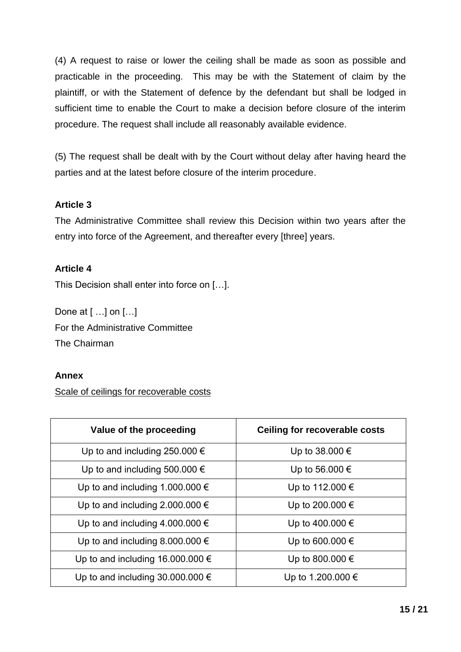(4) A request to raise or lower the ceiling shall be made as soon as possible and practicable in the proceeding. This may be with the Statement of claim by the plaintiff, or with the Statement of defence by the defendant but shall be lodged in sufficient time to enable the Court to make a decision before closure of the interim procedure. The request shall include all reasonably available evidence.

(5) The request shall be dealt with by the Court without delay after having heard the parties and at the latest before closure of the interim procedure.

## **Article 3**

The Administrative Committee shall review this Decision within two years after the entry into force of the Agreement, and thereafter every [three] years.

## **Article 4**

This Decision shall enter into force on […].

Done at [ …] on […] For the Administrative Committee The Chairman

## **Annex**

Scale of ceilings for recoverable costs

| Value of the proceeding                   | <b>Ceiling for recoverable costs</b> |
|-------------------------------------------|--------------------------------------|
| Up to and including 250.000 $\epsilon$    | Up to 38.000 €                       |
| Up to and including 500.000 $\epsilon$    | Up to 56.000 €                       |
| Up to and including 1.000.000 $\epsilon$  | Up to 112.000 €                      |
| Up to and including 2.000.000 $\epsilon$  | Up to 200.000 €                      |
| Up to and including 4.000.000 $\epsilon$  | Up to 400.000 €                      |
| Up to and including 8.000.000 $\epsilon$  | Up to 600.000 €                      |
| Up to and including 16.000.000 $\epsilon$ | Up to 800.000 €                      |
| Up to and including 30.000.000 $\epsilon$ | Up to 1.200.000 €                    |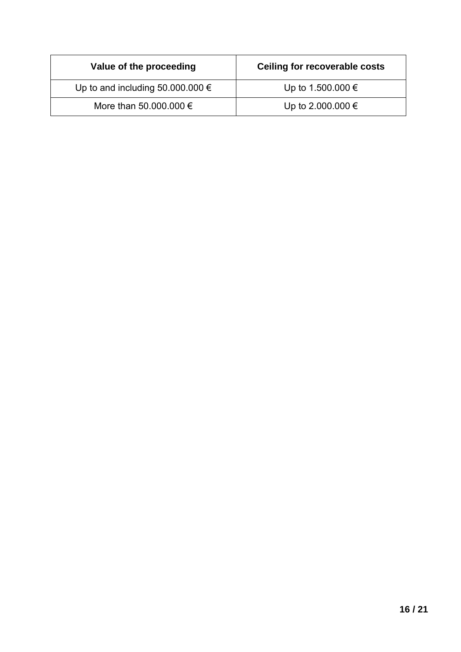| Value of the proceeding                   | Ceiling for recoverable costs |
|-------------------------------------------|-------------------------------|
| Up to and including 50.000.000 $\epsilon$ | Up to 1.500.000 €             |
| More than 50,000,000 $\epsilon$           | Up to 2.000.000 €             |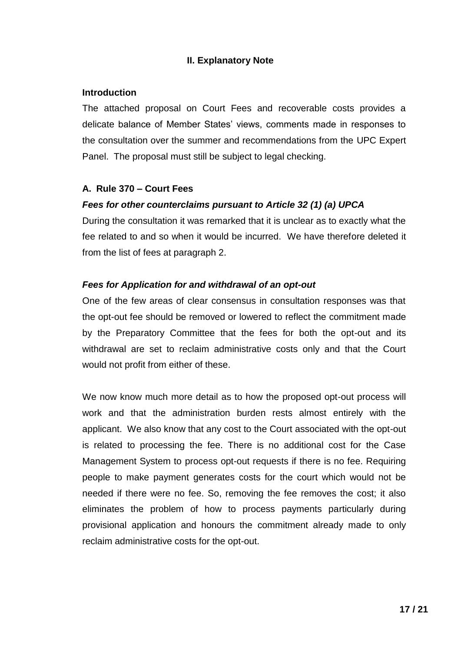## **II. Explanatory Note**

#### **Introduction**

The attached proposal on Court Fees and recoverable costs provides a delicate balance of Member States' views, comments made in responses to the consultation over the summer and recommendations from the UPC Expert Panel. The proposal must still be subject to legal checking.

## **A. Rule 370 – Court Fees**

## *Fees for other counterclaims pursuant to Article 32 (1) (a) UPCA*

During the consultation it was remarked that it is unclear as to exactly what the fee related to and so when it would be incurred. We have therefore deleted it from the list of fees at paragraph 2.

## *Fees for Application for and withdrawal of an opt-out*

One of the few areas of clear consensus in consultation responses was that the opt-out fee should be removed or lowered to reflect the commitment made by the Preparatory Committee that the fees for both the opt-out and its withdrawal are set to reclaim administrative costs only and that the Court would not profit from either of these.

We now know much more detail as to how the proposed opt-out process will work and that the administration burden rests almost entirely with the applicant. We also know that any cost to the Court associated with the opt-out is related to processing the fee. There is no additional cost for the Case Management System to process opt-out requests if there is no fee. Requiring people to make payment generates costs for the court which would not be needed if there were no fee. So, removing the fee removes the cost; it also eliminates the problem of how to process payments particularly during provisional application and honours the commitment already made to only reclaim administrative costs for the opt-out.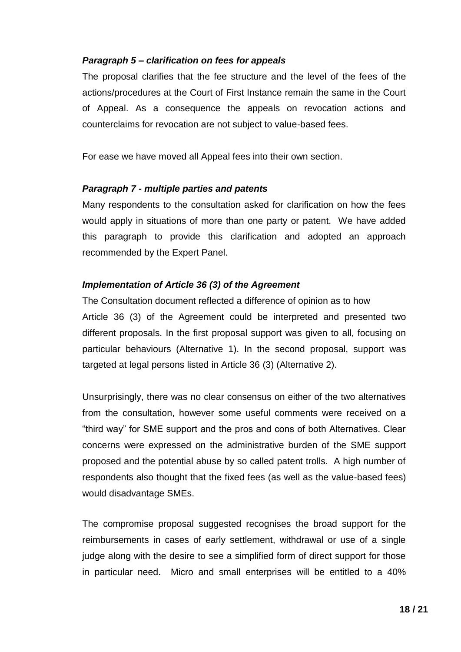## *Paragraph 5 – clarification on fees for appeals*

The proposal clarifies that the fee structure and the level of the fees of the actions/procedures at the Court of First Instance remain the same in the Court of Appeal. As a consequence the appeals on revocation actions and counterclaims for revocation are not subject to value-based fees.

For ease we have moved all Appeal fees into their own section.

## *Paragraph 7 - multiple parties and patents*

Many respondents to the consultation asked for clarification on how the fees would apply in situations of more than one party or patent. We have added this paragraph to provide this clarification and adopted an approach recommended by the Expert Panel.

## *Implementation of Article 36 (3) of the Agreement*

The Consultation document reflected a difference of opinion as to how Article 36 (3) of the Agreement could be interpreted and presented two different proposals. In the first proposal support was given to all, focusing on particular behaviours (Alternative 1). In the second proposal, support was targeted at legal persons listed in Article 36 (3) (Alternative 2).

Unsurprisingly, there was no clear consensus on either of the two alternatives from the consultation, however some useful comments were received on a "third way" for SME support and the pros and cons of both Alternatives. Clear concerns were expressed on the administrative burden of the SME support proposed and the potential abuse by so called patent trolls. A high number of respondents also thought that the fixed fees (as well as the value-based fees) would disadvantage SMEs.

The compromise proposal suggested recognises the broad support for the reimbursements in cases of early settlement, withdrawal or use of a single judge along with the desire to see a simplified form of direct support for those in particular need. Micro and small enterprises will be entitled to a 40%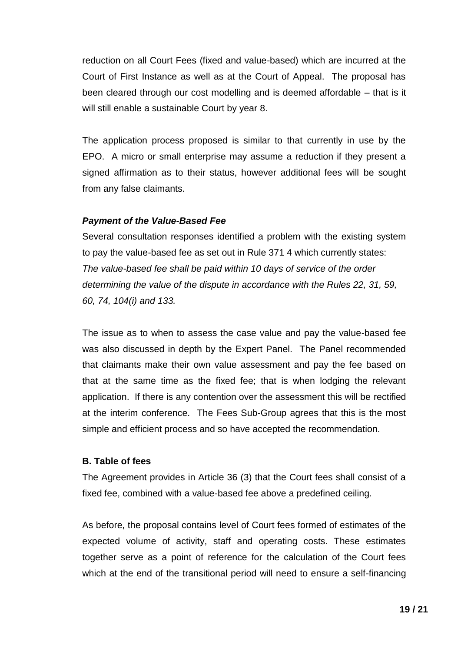reduction on all Court Fees (fixed and value-based) which are incurred at the Court of First Instance as well as at the Court of Appeal. The proposal has been cleared through our cost modelling and is deemed affordable – that is it will still enable a sustainable Court by year 8.

The application process proposed is similar to that currently in use by the EPO. A micro or small enterprise may assume a reduction if they present a signed affirmation as to their status, however additional fees will be sought from any false claimants.

## *Payment of the Value-Based Fee*

Several consultation responses identified a problem with the existing system to pay the value-based fee as set out in Rule 371 4 which currently states: *The value-based fee shall be paid within 10 days of service of the order determining the value of the dispute in accordance with the Rules 22, 31, 59, 60, 74, 104(i) and 133.* 

The issue as to when to assess the case value and pay the value-based fee was also discussed in depth by the Expert Panel. The Panel recommended that claimants make their own value assessment and pay the fee based on that at the same time as the fixed fee; that is when lodging the relevant application. If there is any contention over the assessment this will be rectified at the interim conference. The Fees Sub-Group agrees that this is the most simple and efficient process and so have accepted the recommendation.

## **B. Table of fees**

The Agreement provides in Article 36 (3) that the Court fees shall consist of a fixed fee, combined with a value-based fee above a predefined ceiling.

As before, the proposal contains level of Court fees formed of estimates of the expected volume of activity, staff and operating costs. These estimates together serve as a point of reference for the calculation of the Court fees which at the end of the transitional period will need to ensure a self-financing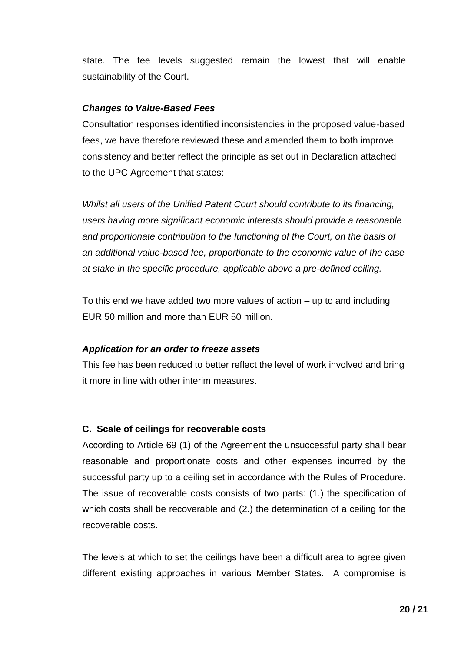state. The fee levels suggested remain the lowest that will enable sustainability of the Court.

#### *Changes to Value-Based Fees*

Consultation responses identified inconsistencies in the proposed value-based fees, we have therefore reviewed these and amended them to both improve consistency and better reflect the principle as set out in Declaration attached to the UPC Agreement that states:

*Whilst all users of the Unified Patent Court should contribute to its financing, users having more significant economic interests should provide a reasonable and proportionate contribution to the functioning of the Court, on the basis of an additional value-based fee, proportionate to the economic value of the case at stake in the specific procedure, applicable above a pre-defined ceiling.* 

To this end we have added two more values of action – up to and including EUR 50 million and more than EUR 50 million.

## *Application for an order to freeze assets*

This fee has been reduced to better reflect the level of work involved and bring it more in line with other interim measures.

## **C. Scale of ceilings for recoverable costs**

According to Article 69 (1) of the Agreement the unsuccessful party shall bear reasonable and proportionate costs and other expenses incurred by the successful party up to a ceiling set in accordance with the Rules of Procedure. The issue of recoverable costs consists of two parts: (1.) the specification of which costs shall be recoverable and (2.) the determination of a ceiling for the recoverable costs.

The levels at which to set the ceilings have been a difficult area to agree given different existing approaches in various Member States. A compromise is